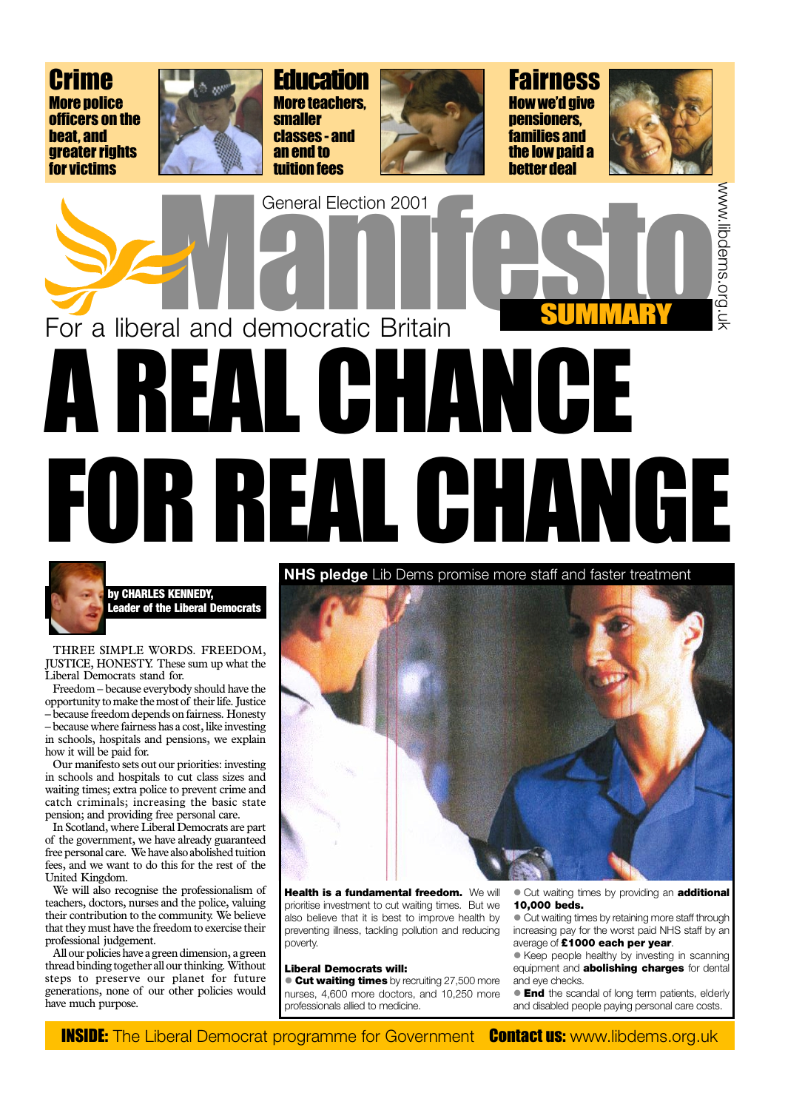



by CHARLES KENNEDY, **Leader of the Liberal Democrats** 

THREE SIMPLE WORDS. FREEDOM, JUSTICE, HONESTY. These sum up what the Liberal Democrats stand for.

Freedom - because everybody should have the opportunity to make the most of their life. Justice - because freedom depends on fairness. Honesty - because where fairness has a cost, like investing in schools, hospitals and pensions, we explain how it will be paid for.

Our manifesto sets out our priorities: investing in schools and hospitals to cut class sizes and waiting times; extra police to prevent crime and catch criminals; increasing the basic state pension; and providing free personal care.

In Scotland, where Liberal Democrats are part of the government, we have already guaranteed free personal care. We have also abolished tuition fees, and we want to do this for the rest of the United Kingdom. We will also recognise the professionalism of teachers, doctors, nurses and the police, valuing their contribution to the community. We believe that they must have the freedom to exercise their professional judgement. All our policies have a green dimension, a green thread binding together all our thinking. Without steps to preserve our planet for future generations, none of our other policies would have much purpose.



Health is a fundamental freedom. We will prioritise investment to cut waiting times. But we also believe that it is best to improve health by preventing illness, tackling pollution and reducing poverty.

#### **Liberal Democrats will:**

**Cut waiting times** by recruiting 27,500 more nurses, 4,600 more doctors, and 10,250 more professionals allied to medicine.

• Cut waiting times by providing an **additional** 10,000 beds.

• Cut waiting times by retaining more staff through increasing pay for the worst paid NHS staff by an average of £1000 each per year.

• Keep people healthy by investing in scanning equipment and **abolishing charges** for dental and eve checks.

• End the scandal of long term patients, elderly and disabled people paying personal care costs.

**INSIDE:** The Liberal Democrat programme for Government **Contact us: www.libdems.org.uk**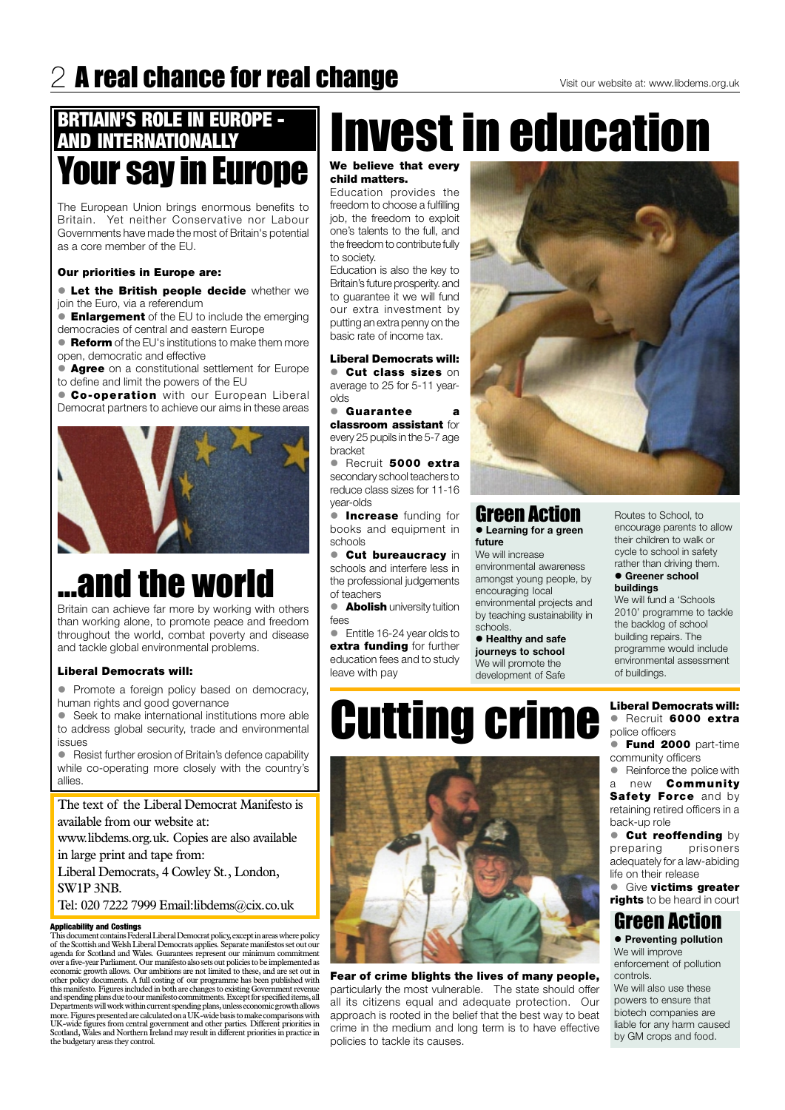## $2$  A real chance for real change

## **BRTIAIN'S ROLE IN EUROPE -AND INTERNATIONALLY Your say in Europe**

The European Union brings enormous benefits to Britain. Yet neither Conservative nor Labour Governments have made the most of Britain's potential as a core member of the EU.

## **Our priorities in Europe are:**

**• Let the British people decide** whether we join the Euro, via a referendum

**Enlargement** of the EU to include the emerging democracies of central and eastern Europe

**• Reform** of the EU's institutions to make them more open, democratic and effective

• Agree on a constitutional settlement for Europe to define and limit the powers of the EU

**Co-operation** with our European Liberal Democrat partners to achieve our aims in these areas



## ...and the world

Britain can achieve far more by working with others than working alone, to promote peace and freedom throughout the world, combat poverty and disease and tackle global environmental problems.

### **Liberal Democrats will:**

• Promote a foreign policy based on democracy, human rights and good governance

• Seek to make international institutions more able to address global security, trade and environmental issues

• Resist further erosion of Britain's defence capability while co-operating more closely with the country's allies.

The text of the Liberal Democrat Manifesto is available from our website at:

# **Invest in education**

### We believe that every child matters.

Education provides the freedom to choose a fulfilling job, the freedom to exploit one's talents to the full, and the freedom to contribute fully to society.

Education is also the key to Britain's future prosperity. and to guarantee it we will fund our extra investment by putting an extra penny on the basic rate of income tax.

### **Liberal Democrats will: Cut class sizes on**

average to 25 for 5-11 yearolds

• Guarantee  $\mathbf{a}$ classroom assistant for every 25 pupils in the 5-7 age bracket

Recruit 5000 extra secondary school teachers to reduce class sizes for 11-16 year-olds

**Increase** funding for books and equipment in schools

**Cut bureaucracy** in schools and interfere less in the professional judgements of teachers

**Abolish** university tuition fees

• Entitle 16-24 year olds to extra funding for further education fees and to study leave with pay



## **Green Action**

**• Learning for a green** future

We will increase environmental awareness amongst young people, by encouraging local environmental projects and by teaching sustainability in schools.

• Healthy and safe journeys to school We will promote the development of Safe

Routes to School, to encourage parents to allow their children to walk or cycle to school in safety rather than driving them.

#### • Greener school buildings

We will fund a 'Schools 2010' programme to tackle the backlog of school building repairs. The programme would include environmental assessment of buildings.

### **Liberal Democrats will:** · Recruit 6000 extra

- police officers **• Fund 2000** part-time
- community officers • Reinforce the police with
- a new **Community** Safety Force and by

retaining retired officers in a back-up role **Cut reoffending** by preparing prisoners adequately for a law-abiding life on their release **• Give victims greater** rights to be heard in court



**Cutting crime** 

www.libdems.org.uk. Copies are also available in large print and tape from: Liberal Democrats, 4 Cowley St., London, SW1P 3NB. Tel: 020 7222 7999 Email:libdems@cix.co.uk

#### **Applicability and Costings**

This document contains Federal Liberal Democrat policy, except in areas where policy of the Scottish and Welsh Liberal Democrats applies. Separate manifestos set out our agenda for Scotland and Wales. Guarantees represent our minimum commitment over a five-year Parliament. Our manifesto also sets out policies to be implemented as economic growth allows. Our ambitions are not limited to these, and are set out in other policy documents. A full costing of our programme has been published with this manifesto. Figures included in both are changes to existing Government revenue and spending plans due to our manifesto commitments. Except for specified items, all Departments will work within current spending plans, unless economic growth allows more. Figures presented are calculated on a UK-wide basis to make comparisons with UK-wide figures from central government and other parties. Different priorities in Scotland, Wales and Northern Ireland may result in different priorities in practice in the budgetary areas they control.

#### Fear of crime blights the lives of many people, particularly the most vulnerable. The state should offer all its citizens equal and adequate protection. Our approach is rooted in the belief that the best way to beat crime in the medium and long term is to have effective policies to tackle its causes.

## **Green Action**

• Preventing pollution We will improve enforcement of pollution controls.

We will also use these powers to ensure that biotech companies are liable for any harm caused by GM crops and food.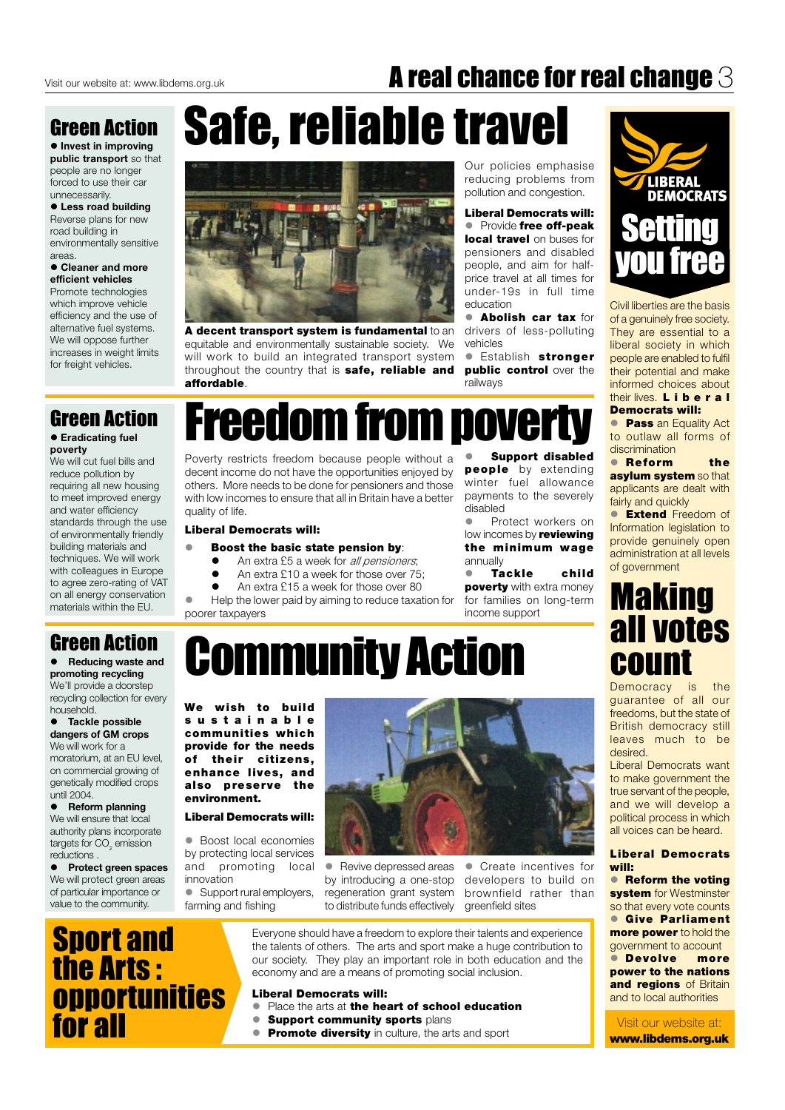## A real chance for real change 3

## **Green Action**

• Invest in improving public transport so that people are no longer forced to use their car unnecessarily.

#### • Less road building Reverse plans for new road building in environmentally sensitive areas.

#### • Cleaner and more efficient vehicles

Promote technologies which improve vehicle efficiency and the use of alternative fuel systems. We will oppose further increases in weight limits for freight vehicles.

## **Green Action**

#### **• Eradicating fuel** poverty

We will cut fuel bills and reduce pollution by requiring all new housing to meet improved energy and water efficiency standards through the use of environmentally friendly building materials and techniques. We will work with colleagues in Europe to agree zero-rating of VAT on all energy conservation materials within the EU.

## **Green Action**

• Reducing waste and promoting recycling We'll provide a doorstep recycling collection for every household.

• Tackle possible dangers of GM crops We will work for a moratorium, at an EU level, on commercial growing of genetically modified crops until 2004.

**Reform planning** We will ensure that local authority plans incorporate

# Safe, reliable travel



A decent transport system is fundamental to an equitable and environmentally sustainable society. We will work to build an integrated transport system throughout the country that is safe, reliable and affordable.

Our policies emphasise reducing problems from pollution and congestion.

**Liberal Democrats will:** • Provide free off-peak local travel on buses for pensioners and disabled people, and aim for halfprice travel at all times for under-19s in full time education

**Abolish car tax** for drivers of less-polluting vehicles

**Establish stronger** public control over the railways

# **Freedom from poverty**

Poverty restricts freedom because people without a decent income do not have the opportunities enjoyed by others. More needs to be done for pensioners and those with low incomes to ensure that all in Britain have a better quality of life.

## **Liberal Democrats will:**

- Boost the basic state pension by:
	- $\bullet$ An extra £5 a week for all pensioners;
	- $\bullet$ An extra £10 a week for those over 75;
	- $\bullet$ An extra £15 a week for those over 80

Help the lower paid by aiming to reduce taxation for poorer taxpayers

**Support disabled** people by extending winter fuel allowance payments to the severely disabled

 $\bullet$ Protect workers on low incomes by reviewing the minimum wage annually

**Tackle** child  $\bullet$ **poverty** with extra money for families on long-term income support

# **Community Action**

We wish to build sustainable communities which provide for the needs of their citizens, enhance lives, and also preserve the environment.

**Liberal Democrats will:** 





Civil liberties are the basis of a genuinely free society. They are essential to a liberal society in which people are enabled to fulfil their potential and make informed choices about their lives. **Liberal Democrats will:** 

**Pass** an Equality Act to outlaw all forms of discrimination

• Reform the asylum system so that applicants are dealt with fairly and quickly

**Extend Freedom of** Information legislation to provide genuinely open administration at all levels of government

## **Making** all votes **COUNT**

Democracy is the guarantee of all our freedoms, but the state of British democracy still leaves much to be desired.

Liberal Democrats want to make government the true servant of the people, and we will develop a political process in which all voices can be heard.

targets for  $CO<sub>2</sub>$  emission reductions.

• Protect green spaces We will protect green areas of particular importance or value to the community.

• Boost local economies by protecting local services and promoting local innovation

• Support rural employers, farming and fishing

• Create incentives for • Revive depressed areas by introducing a one-stop developers to build on regeneration grant system brownfield rather than to distribute funds effectively areenfield sites

**Liberal Democrats** will:

• Reform the voting system for Westminster so that every vote counts **• Give Parliament more power** to hold the government to account **• Devolve** more power to the nations and regions of Britain and to local authorities

Visit our website at: www.libdems.org.uk

**Sport and** the Arts: **opportunities** for all

Everyone should have a freedom to explore their talents and experience the talents of others. The arts and sport make a huge contribution to our society. They play an important role in both education and the economy and are a means of promoting social inclusion.

#### **Liberal Democrats will:**

- Place the arts at the heart of school education
- $\bullet$ **Support community sports plans**
- **Promote diversity** in culture, the arts and sport  $\bullet$